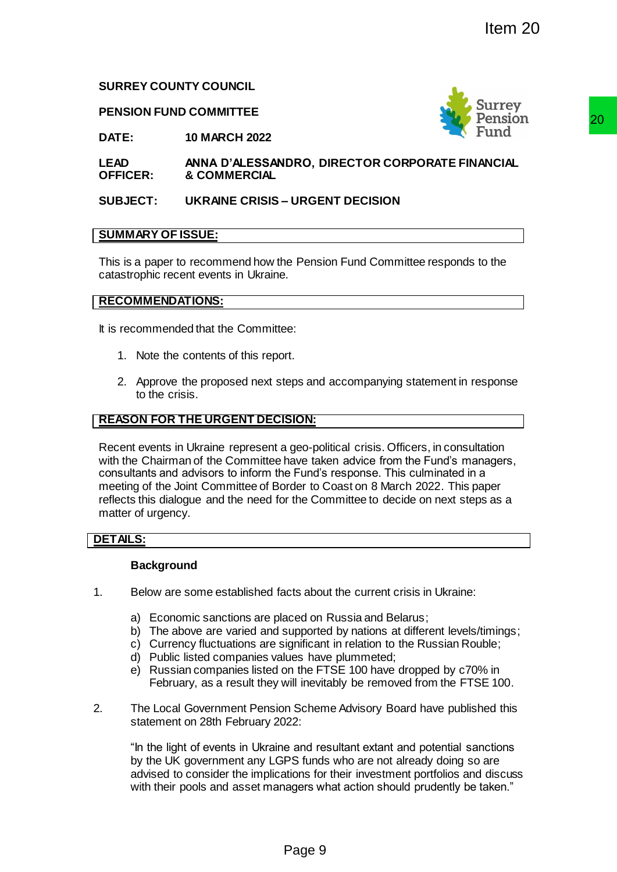## **SURREY COUNTY COUNCIL**

#### **PENSION FUND COMMITTEE**



**DATE: 10 MARCH 2022**

**LEAD OFFICER: ANNA D'ALESSANDRO, DIRECTOR CORPORATE FINANCIAL & COMMERCIAL**

## **SUBJECT: UKRAINE CRISIS – URGENT DECISION**

## **SUMMARY OF ISSUE:**

This is a paper to recommend how the Pension Fund Committee responds to the catastrophic recent events in Ukraine.

#### **RECOMMENDATIONS:**

It is recommended that the Committee:

- 1. Note the contents of this report.
- 2. Approve the proposed next steps and accompanying statement in response to the crisis.

## **REASON FOR THE URGENT DECISION:**

Recent events in Ukraine represent a geo-political crisis. Officers, in consultation with the Chairman of the Committee have taken advice from the Fund's managers, consultants and advisors to inform the Fund's response. This culminated in a meeting of the Joint Committee of Border to Coast on 8 March 2022. This paper reflects this dialogue and the need for the Committee to decide on next steps as a matter of urgency. The Control of the Control of the Russian Rouble;<br>
Page 9<br>
Page 9 By General of the Control of the Control of the Control of the Control of the Control of the Control of the Control of the Control of the Control of the Con

## **DETAILS:**

#### **Background**

- 1. Below are some established facts about the current crisis in Ukraine:
	- a) Economic sanctions are placed on Russia and Belarus;
	- b) The above are varied and supported by nations at different levels/timings;
	- c) Currency fluctuations are significant in relation to the Russian Rouble;
	- d) Public listed companies values have plummeted;
	- e) Russian companies listed on the FTSE 100 have dropped by c70% in February, as a result they will inevitably be removed from the FTSE 100.
- 2. The Local Government Pension Scheme Advisory Board have published this statement on 28th February 2022:

"In the light of events in Ukraine and resultant extant and potential sanctions by the UK government any LGPS funds who are not already doing so are advised to consider the implications for their investment portfolios and discuss with their pools and asset managers what action should prudently be taken."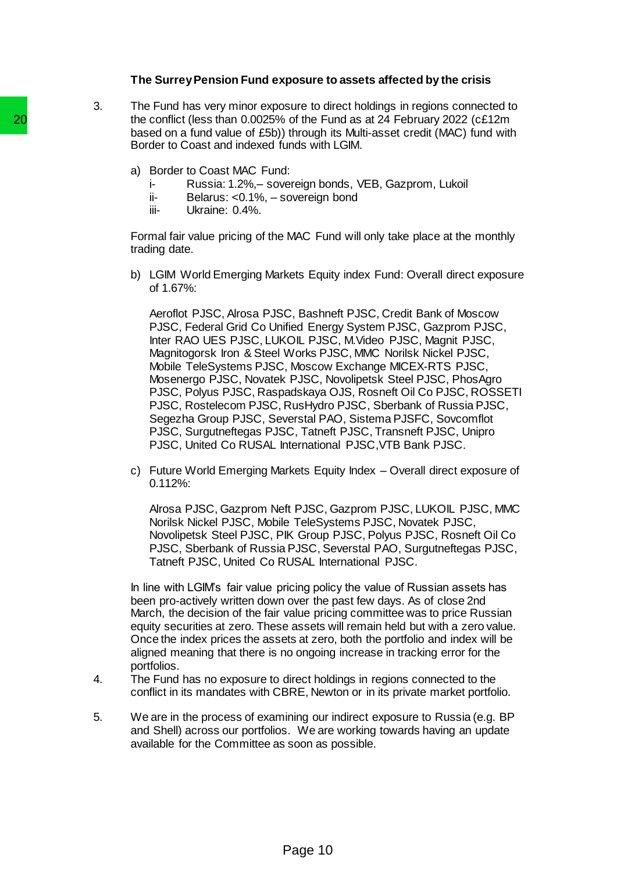#### **The Surrey Pension Fund exposure to assets affected by the crisis**

3. The Fund has very minor exposure to direct holdings in regions connected to the conflict (less than 0.0025% of the Fund as at 24 February 2022 (c£12m based on a fund value of £5b)) through its Multi-asset credit (MAC) fund with Border to Coast and indexed funds with LGIM.

- a) Border to Coast MAC Fund:
	- i- Russia: 1.2%,– sovereign bonds, VEB, Gazprom, Lukoil
	- ii- Belarus: <0.1%, sovereign bond<br>iii- Ukraine: 0.4%.
	- Ukraine: 0.4%.

Formal fair value pricing of the MAC Fund will only take place at the monthly trading date.

b) LGIM World Emerging Markets Equity index Fund: Overall direct exposure of 1.67%:

Aeroflot PJSC, Alrosa PJSC, Bashneft PJSC, Credit Bank of Moscow PJSC, Federal Grid Co Unified Energy System PJSC, Gazprom PJSC, Inter RAO UES PJSC, LUKOIL PJSC, M.Video PJSC, Magnit PJSC, Magnitogorsk Iron & Steel Works PJSC, MMC Norilsk Nickel PJSC, Mobile TeleSystems PJSC, Moscow Exchange MICEX-RTS PJSC, Mosenergo PJSC, Novatek PJSC, Novolipetsk Steel PJSC, PhosAgro PJSC, Polyus PJSC, Raspadskaya OJS, Rosneft Oil Co PJSC, ROSSETI PJSC, Rostelecom PJSC, RusHydro PJSC, Sberbank of Russia PJSC, Segezha Group PJSC, Severstal PAO, Sistema PJSFC, Sovcomflot PJSC, Surgutneftegas PJSC, Tatneft PJSC, Transneft PJSC, Unipro PJSC, United Co RUSAL International PJSC,VTB Bank PJSC. 20<br>
the conflict (less than 0.0025% of the F-T-<br>
based on a fund value of £5b) through<br>
Border to Coast and indexed funds with<br>
a) Border to Coast and indexed funds with<br>
a) Evert Coast and indexed funds with<br>
a) Evert Coa

c) Future World Emerging Markets Equity Index – Overall direct exposure of 0.112%:

Alrosa PJSC, Gazprom Neft PJSC, Gazprom PJSC, LUKOIL PJSC, MMC Norilsk Nickel PJSC, Mobile TeleSystems PJSC, Novatek PJSC, Novolipetsk Steel PJSC, PIK Group PJSC, Polyus PJSC, Rosneft Oil Co PJSC, Sberbank of Russia PJSC, Severstal PAO, Surgutneftegas PJSC, Tatneft PJSC, United Co RUSAL International PJSC.

In line with LGIM's fair value pricing policy the value of Russian assets has been pro-actively written down over the past few days. As of close 2nd March, the decision of the fair value pricing committee was to price Russian equity securities at zero. These assets will remain held but with a zero value. Once the index prices the assets at zero, both the portfolio and index will be aligned meaning that there is no ongoing increase in tracking error for the portfolios.

- 4. The Fund has no exposure to direct holdings in regions connected to the conflict in its mandates with CBRE, Newton or in its private market portfolio.
- 5. We are in the process of examining our indirect exposure to Russia (e.g. BP and Shell) across our portfolios. We are working towards having an update available for the Committee as soon as possible.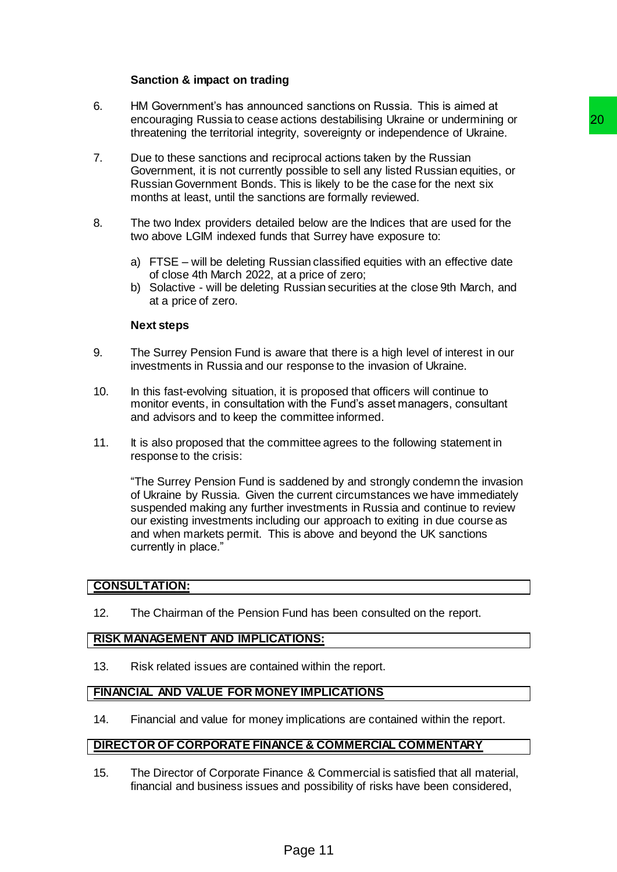# **Sanction & impact on trading**

- 6. HM Government's has announced sanctions on Russia. This is aimed at encouraging Russia to cease actions destabilising Ukraine or undermining or threatening the territorial integrity, sovereignty or independence of Ukraine.
- 7. Due to these sanctions and reciprocal actions taken by the Russian Government, it is not currently possible to sell any listed Russian equities, or Russian Government Bonds. This is likely to be the case for the next six months at least, until the sanctions are formally reviewed.
- 8. The two Index providers detailed below are the Indices that are used for the two above LGIM indexed funds that Surrey have exposure to:
	- a) FTSE will be deleting Russian classified equities with an effective date of close 4th March 2022, at a price of zero;
	- b) Solactive will be deleting Russian securities at the close 9th March, and at a price of zero.

#### **Next steps**

- 9. The Surrey Pension Fund is aware that there is a high level of interest in our investments in Russia and our response to the invasion of Ukraine.
- 10. In this fast-evolving situation, it is proposed that officers will continue to monitor events, in consultation with the Fund's asset managers, consultant and advisors and to keep the committee informed.
- 11. It is also proposed that the committee agrees to the following statement in response to the crisis:

"The Surrey Pension Fund is saddened by and strongly condemn the invasion of Ukraine by Russia. Given the current circumstances we have immediately suspended making any further investments in Russia and continue to review our existing investments including our approach to exiting in due course as and when markets permit. This is above and beyond the UK sanctions currently in place." rictions destabilishing Ukraine or undermining or<br>tity, sovereigntly or independence of Ukraine.<br>
Signocal actions taken by the Russian<br>
possible to sell any listed Russian capitics, or<br>
possible to sell any listed Russian

## **CONSULTATION:**

12. The Chairman of the Pension Fund has been consulted on the report.

## **RISK MANAGEMENT AND IMPLICATIONS:**

13. Risk related issues are contained within the report.

#### **FINANCIAL AND VALUE FOR MONEY IMPLICATIONS**

14. Financial and value for money implications are contained within the report.

#### **DIRECTOR OF CORPORATE FINANCE & COMMERCIAL COMMENTARY**

15. The Director of Corporate Finance & Commercial is satisfied that all material, financial and business issues and possibility of risks have been considered,